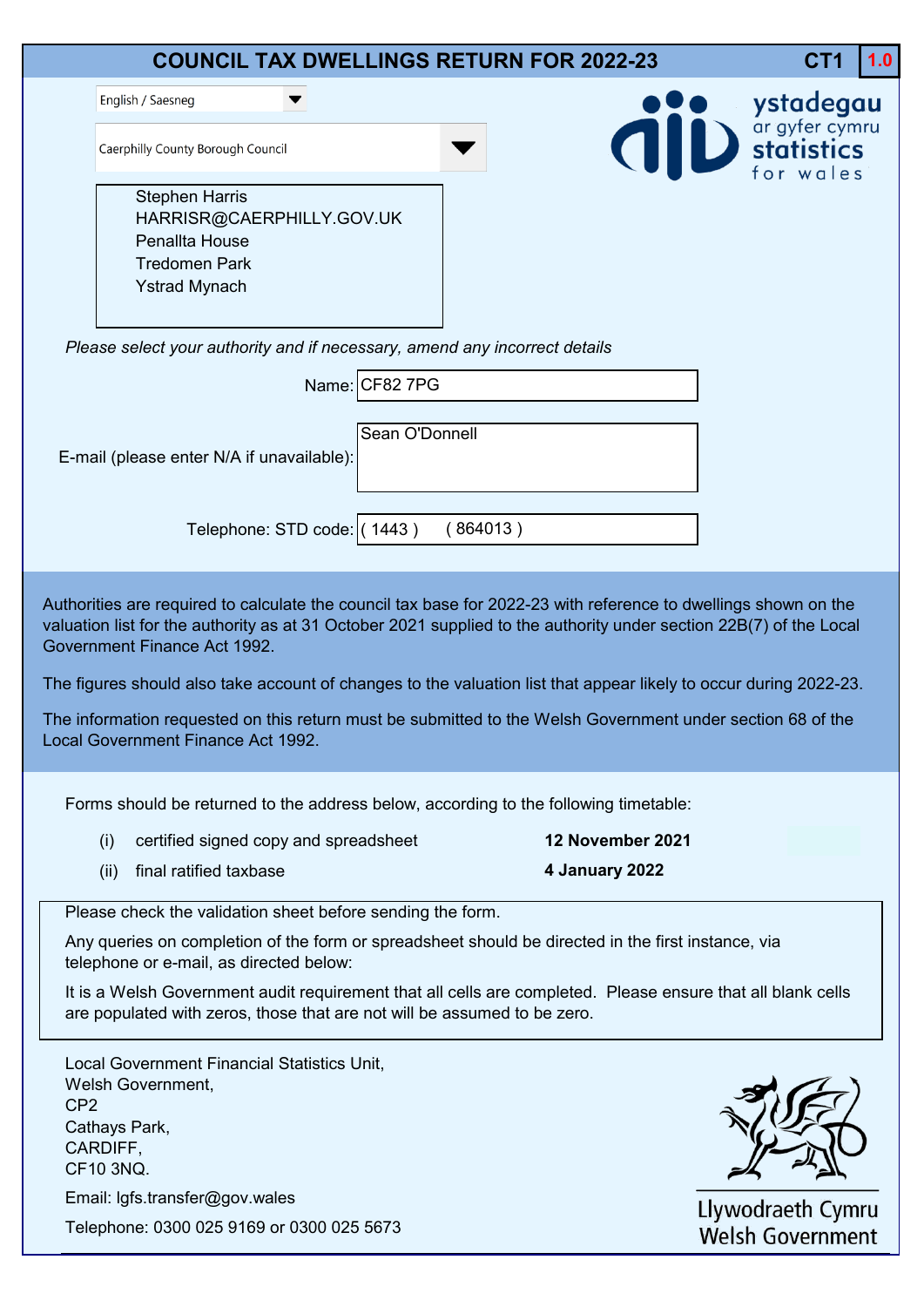|                 |                                                                                                                                                                                   |                                       |                |          | <b>COUNCIL TAX DWELLINGS RETURN FOR 2022-23</b>                                                                                                                                                                                                                                                                                                                                                                                                                          | CT1                 | 1.0 |
|-----------------|-----------------------------------------------------------------------------------------------------------------------------------------------------------------------------------|---------------------------------------|----------------|----------|--------------------------------------------------------------------------------------------------------------------------------------------------------------------------------------------------------------------------------------------------------------------------------------------------------------------------------------------------------------------------------------------------------------------------------------------------------------------------|---------------------|-----|
|                 | English / Saesneg                                                                                                                                                                 |                                       |                |          |                                                                                                                                                                                                                                                                                                                                                                                                                                                                          |                     |     |
|                 | Caerphilly County Borough Council                                                                                                                                                 |                                       |                |          |                                                                                                                                                                                                                                                                                                                                                                                                                                                                          | Westadegau          |     |
|                 | <b>Stephen Harris</b><br>Penallta House<br><b>Tredomen Park</b><br><b>Ystrad Mynach</b>                                                                                           | HARRISR@CAERPHILLY.GOV.UK             |                |          |                                                                                                                                                                                                                                                                                                                                                                                                                                                                          |                     |     |
|                 | Please select your authority and if necessary, amend any incorrect details                                                                                                        |                                       |                |          |                                                                                                                                                                                                                                                                                                                                                                                                                                                                          |                     |     |
|                 |                                                                                                                                                                                   |                                       | Name: CF82 7PG |          |                                                                                                                                                                                                                                                                                                                                                                                                                                                                          |                     |     |
|                 | E-mail (please enter N/A if unavailable):                                                                                                                                         |                                       | Sean O'Donnell |          |                                                                                                                                                                                                                                                                                                                                                                                                                                                                          |                     |     |
|                 |                                                                                                                                                                                   | Telephone: STD code: (1443)           |                | (864013) |                                                                                                                                                                                                                                                                                                                                                                                                                                                                          |                     |     |
|                 | Government Finance Act 1992.<br>Local Government Finance Act 1992.                                                                                                                |                                       |                |          | Authorities are required to calculate the council tax base for 2022-23 with reference to dwellings shown on the<br>valuation list for the authority as at 31 October 2021 supplied to the authority under section 22B(7) of the Local<br>The figures should also take account of changes to the valuation list that appear likely to occur during 2022-23.<br>The information requested on this return must be submitted to the Welsh Government under section 68 of the |                     |     |
|                 |                                                                                                                                                                                   |                                       |                |          | Forms should be returned to the address below, according to the following timetable:                                                                                                                                                                                                                                                                                                                                                                                     |                     |     |
|                 | (i)                                                                                                                                                                               | certified signed copy and spreadsheet |                |          | 12 November 2021                                                                                                                                                                                                                                                                                                                                                                                                                                                         |                     |     |
|                 | final ratified taxbase<br>(ii)                                                                                                                                                    |                                       |                |          | 4 January 2022                                                                                                                                                                                                                                                                                                                                                                                                                                                           |                     |     |
|                 | Please check the validation sheet before sending the form.<br>telephone or e-mail, as directed below:<br>are populated with zeros, those that are not will be assumed to be zero. |                                       |                |          | Any queries on completion of the form or spreadsheet should be directed in the first instance, via<br>It is a Welsh Government audit requirement that all cells are completed. Please ensure that all blank cells                                                                                                                                                                                                                                                        |                     |     |
| CP <sub>2</sub> | Local Government Financial Statistics Unit,<br>Welsh Government,<br>Cathays Park,<br>CARDIFF,<br>CF10 3NQ.<br>Email: Igfs.transfer@gov.wales                                      |                                       |                |          |                                                                                                                                                                                                                                                                                                                                                                                                                                                                          | $l$ www.drooth Cymr |     |

Telephone: 0300 025 9169 or 0300 025 5673

Llywodraeth Cymru<br>Welsh Government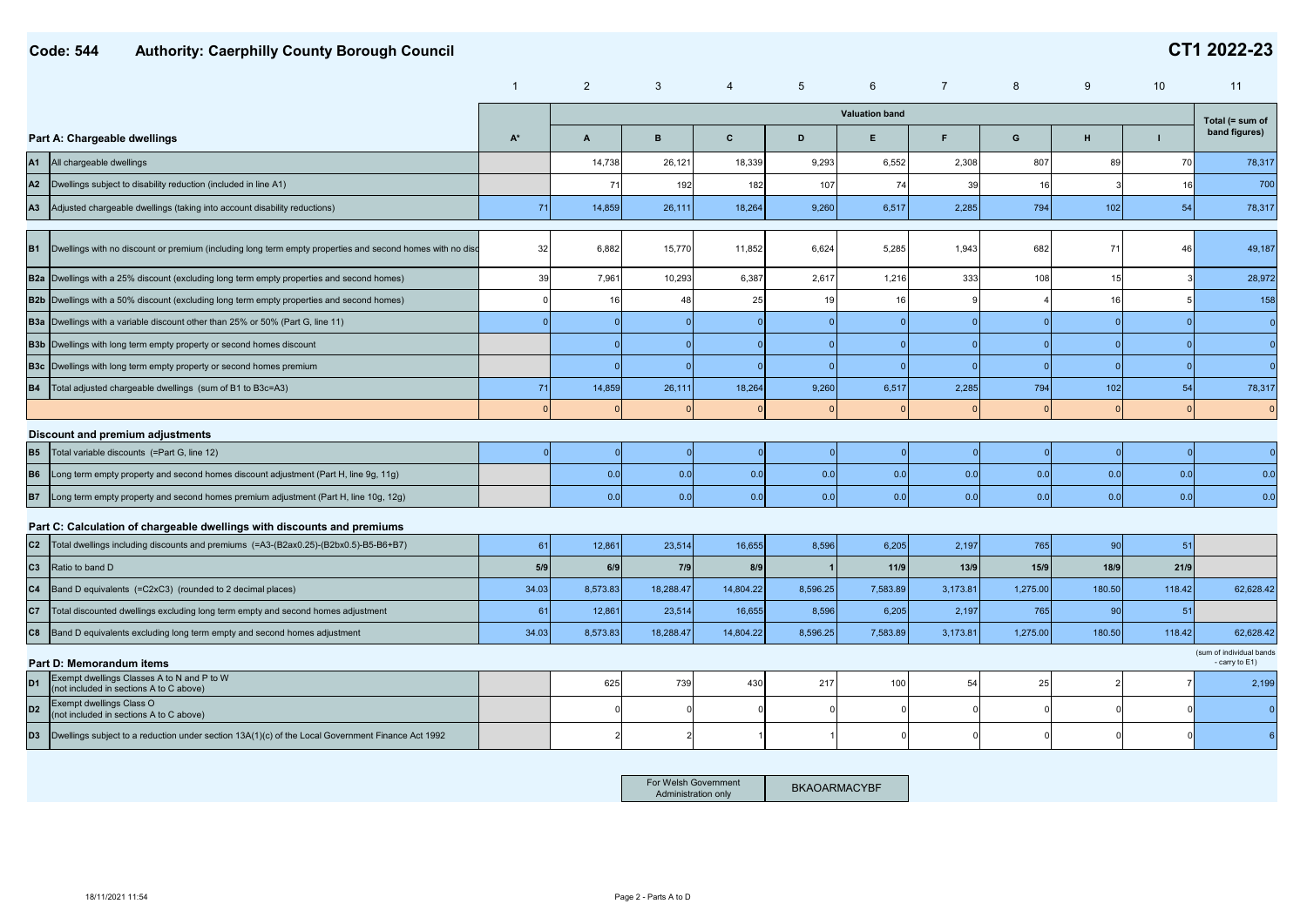|                |                                                                                                              | $\mathbf{1}$ | 2              | 3         | 4         | 5              | 6                     |          | 8        | 9      | 10     | 11                                         |
|----------------|--------------------------------------------------------------------------------------------------------------|--------------|----------------|-----------|-----------|----------------|-----------------------|----------|----------|--------|--------|--------------------------------------------|
|                |                                                                                                              |              |                |           |           |                | <b>Valuation band</b> |          |          |        |        | Total (= sum of                            |
|                | Part A: Chargeable dwellings                                                                                 | $A^*$        | $\overline{A}$ | B         | C         | D              | E.                    | F        | G        | H      | п      | band figures)                              |
| A1             | All chargeable dwellings                                                                                     |              | 14,738         | 26,121    | 18,339    | 9,293          | 6,552                 | 2,308    | 807      | 89     | 70     | 78,317                                     |
| A2             | Dwellings subject to disability reduction (included in line A1)                                              |              | 71             | 192       | 182       | 107            | 74                    | 39       | 16       |        | 16     | 700                                        |
| A3             | Adjusted chargeable dwellings (taking into account disability reductions)                                    | 71           | 14,859         | 26,111    | 18,264    | 9,260          | 6,517                 | 2,285    | 794      | 102    | 54     | 78,317                                     |
|                | B1 Dwellings with no discount or premium (including long term empty properties and second homes with no disc | 32           | 6,882          | 15,770    | 11,852    | 6,624          | 5,285                 | 1,943    | 682      | 71     | 46     | 49,187                                     |
|                | B2a Dwellings with a 25% discount (excluding long term empty properties and second homes)                    | 39           | 7,961          | 10,293    | 6,387     | 2,617          | 1,216                 | 333      | 108      | 15     |        | 28,972                                     |
|                | B2b Dwellings with a 50% discount (excluding long term empty properties and second homes)                    |              | 16             | 48        | 25        | 19             | 16                    |          |          | 16     |        | 158                                        |
|                | <b>B3a</b> Dwellings with a variable discount other than 25% or 50% (Part G, line 11)                        |              |                |           |           | $\overline{0}$ | $\Omega$              |          |          |        |        | $\Omega$                                   |
|                | <b>B3b</b> Dwellings with long term empty property or second homes discount                                  |              |                |           |           | $\overline{0}$ | $\Omega$              |          |          |        |        | $\Omega$                                   |
|                | <b>B3c</b> Dwellings with long term empty property or second homes premium                                   |              |                |           |           | $\overline{0}$ | $\Omega$              | $\Omega$ |          |        |        | $\overline{0}$                             |
| <b>B4</b>      | Total adjusted chargeable dwellings (sum of B1 to B3c=A3)                                                    | 71           | 14,859         | 26,111    | 18,264    | 9,260          | 6,517                 | 2,285    | 794      | 102    | 54     | 78,317                                     |
|                |                                                                                                              |              |                |           |           |                |                       |          |          |        |        | $\mathbf{0}$                               |
|                | Discount and premium adjustments                                                                             |              |                |           |           |                |                       |          |          |        |        |                                            |
| <b>B5</b>      | Total variable discounts (=Part G, line 12)                                                                  |              | $\Omega$       |           |           | $\overline{0}$ |                       |          |          | C      |        | $\overline{0}$                             |
| <b>B6</b>      | Long term empty property and second homes discount adjustment (Part H, line 9g, 11g)                         |              | 0.0            | 0.0       | 0.0       | 0.0            | 0.0                   | 0.0      | 0.0      | 0.0    | 0.0    | 0.0                                        |
| <b>B7</b>      | Long term empty property and second homes premium adjustment (Part H, line 10g, 12g)                         |              | 0.0            | 0.0       | 0.0       | 0.0            | 0.0                   | 0.0      | 0.0      | 0.0    | 0.0    | 0.0                                        |
|                | Part C: Calculation of chargeable dwellings with discounts and premiums                                      |              |                |           |           |                |                       |          |          |        |        |                                            |
| C2             | Total dwellings including discounts and premiums (=A3-(B2ax0.25)-(B2bx0.5)-B5-B6+B7)                         | 61           | 12,861         | 23,514    | 16,655    | 8,596          | 6,205                 | 2,197    | 765      | 90     | 51     |                                            |
| C <sub>3</sub> | Ratio to band D                                                                                              | 5/9          | 6/9            | 7/9       | 8/9       |                | 11/9                  | 13/9     | 15/9     | 18/9   | 21/9   |                                            |
| C <sub>4</sub> | Band D equivalents (=C2xC3) (rounded to 2 decimal places)                                                    | 34.03        | 8,573.83       | 18,288.47 | 14,804.22 | 8,596.25       | 7,583.89              | 3,173.81 | 1,275.00 | 180.50 | 118.42 | 62,628.42                                  |
| C7             | Total discounted dwellings excluding long term empty and second homes adjustment                             | 61           | 12,861         | 23,514    | 16,655    | 8,596          | 6,205                 | 2,197    | 765      | 90     | 51     |                                            |
| C8             | Band D equivalents excluding long term empty and second homes adjustment                                     | 34.03        | 8,573.83       | 18,288.47 | 14,804.22 | 8,596.25       | 7,583.89              | 3,173.81 | 1,275.00 | 180.50 | 118.42 | 62,628.42                                  |
|                | Part D: Memorandum items                                                                                     |              |                |           |           |                |                       |          |          |        |        | (sum of individual bands<br>- carry to E1) |
| D <sub>1</sub> | Exempt dwellings Classes A to N and P to W<br>(not included in sections A to C above)                        |              | 625            | 739       | 430       | 217            | 100                   | 54       | 25       |        |        | 2,199                                      |
| D <sub>2</sub> | Exempt dwellings Class O<br>(not included in sections A to C above)                                          |              |                |           |           |                |                       |          |          |        |        | $\mathbf{0}$                               |
| D <sub>3</sub> | Dwellings subject to a reduction under section 13A(1)(c) of the Local Government Finance Act 1992            |              |                |           |           |                |                       |          |          |        |        | 6                                          |

For Welsh Government<br>Administration only **BKAOARMACYBF**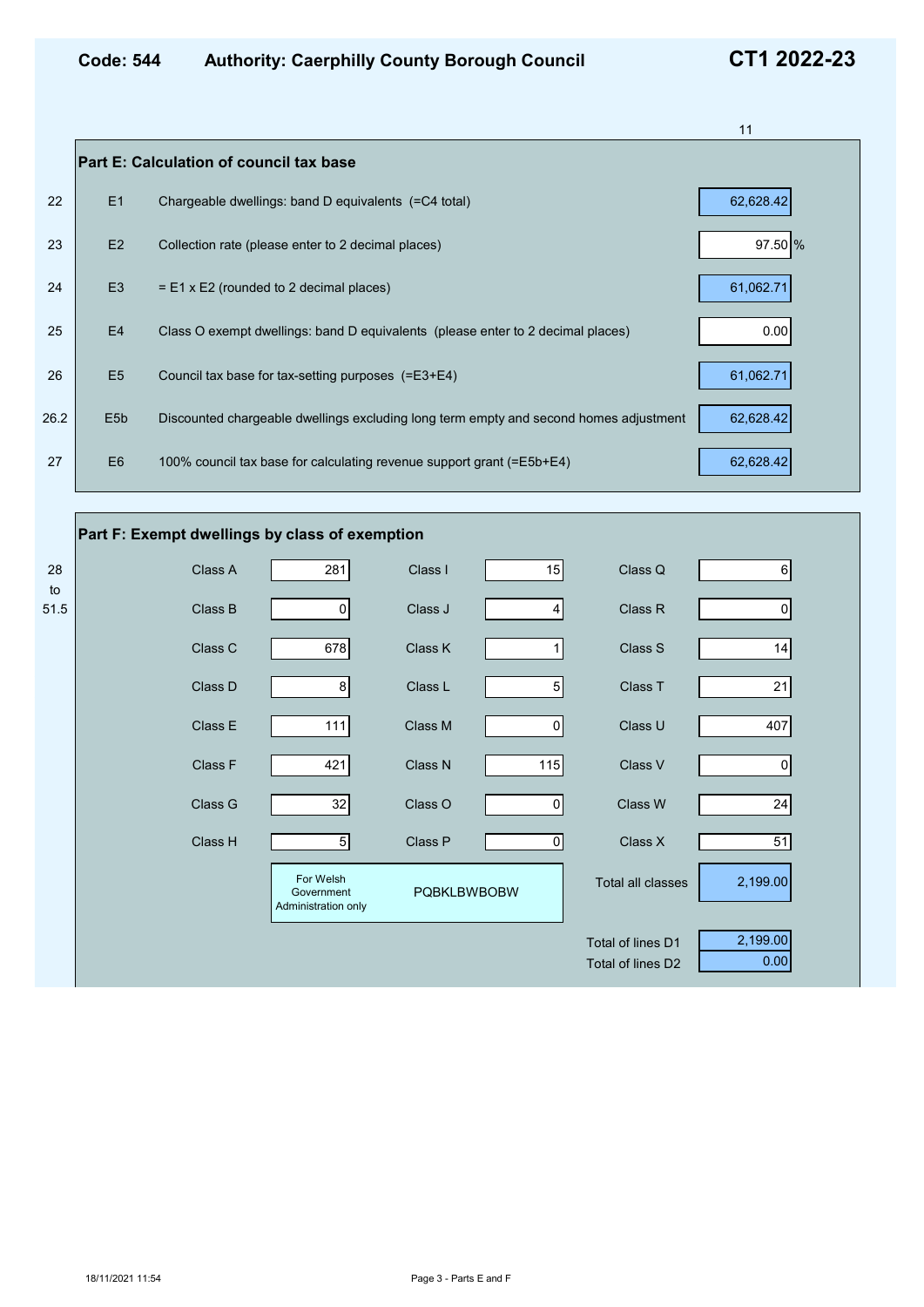|      |                  |                                                                                       | 11        |
|------|------------------|---------------------------------------------------------------------------------------|-----------|
|      |                  | <b>Part E: Calculation of council tax base</b>                                        |           |
| 22   | E1               | Chargeable dwellings: band D equivalents (=C4 total)                                  | 62,628.42 |
| 23   | E2               | Collection rate (please enter to 2 decimal places)                                    | 97.50 %   |
| 24   | E <sub>3</sub>   | $=$ E1 x E2 (rounded to 2 decimal places)                                             | 61,062.71 |
| 25   | E <sub>4</sub>   | Class O exempt dwellings: band D equivalents (please enter to 2 decimal places)       | 0.00      |
| 26   | E <sub>5</sub>   | Council tax base for tax-setting purposes (=E3+E4)                                    | 61,062.71 |
| 26.2 | E <sub>5</sub> b | Discounted chargeable dwellings excluding long term empty and second homes adjustment | 62,628.42 |
| 27   | E <sub>6</sub>   | 100% council tax base for calculating revenue support grant (=E5b+E4)                 | 62,628.42 |

# **Part F: Exempt dwellings by class of exemption**

| 28<br>to | Class A | 281                                            | Class I            | 15             | Class Q           | $\,6$    |  |
|----------|---------|------------------------------------------------|--------------------|----------------|-------------------|----------|--|
| 51.5     | Class B | $\overline{0}$                                 | Class J            | 4              | Class R           | 0        |  |
|          | Class C | 678                                            | Class K            |                | Class S           | 14       |  |
|          | Class D | 8 <sup>1</sup>                                 | Class L            | 5 <sup>1</sup> | Class T           | 21       |  |
|          | Class E | 111                                            | Class M            | $\mathbf 0$    | Class U           | 407      |  |
|          | Class F | 421                                            | Class N            | 115            | Class V           | 0        |  |
|          | Class G | 32                                             | Class O            | 0              | Class W           | 24       |  |
|          | Class H | $\overline{5}$                                 | Class P            | 0              | Class X           | 51       |  |
|          |         | For Welsh<br>Government<br>Administration only | <b>PQBKLBWBOBW</b> |                | Total all classes | 2,199.00 |  |
|          |         |                                                |                    |                | Total of lines D1 | 2,199.00 |  |
|          |         |                                                |                    |                | Total of lines D2 | 0.00     |  |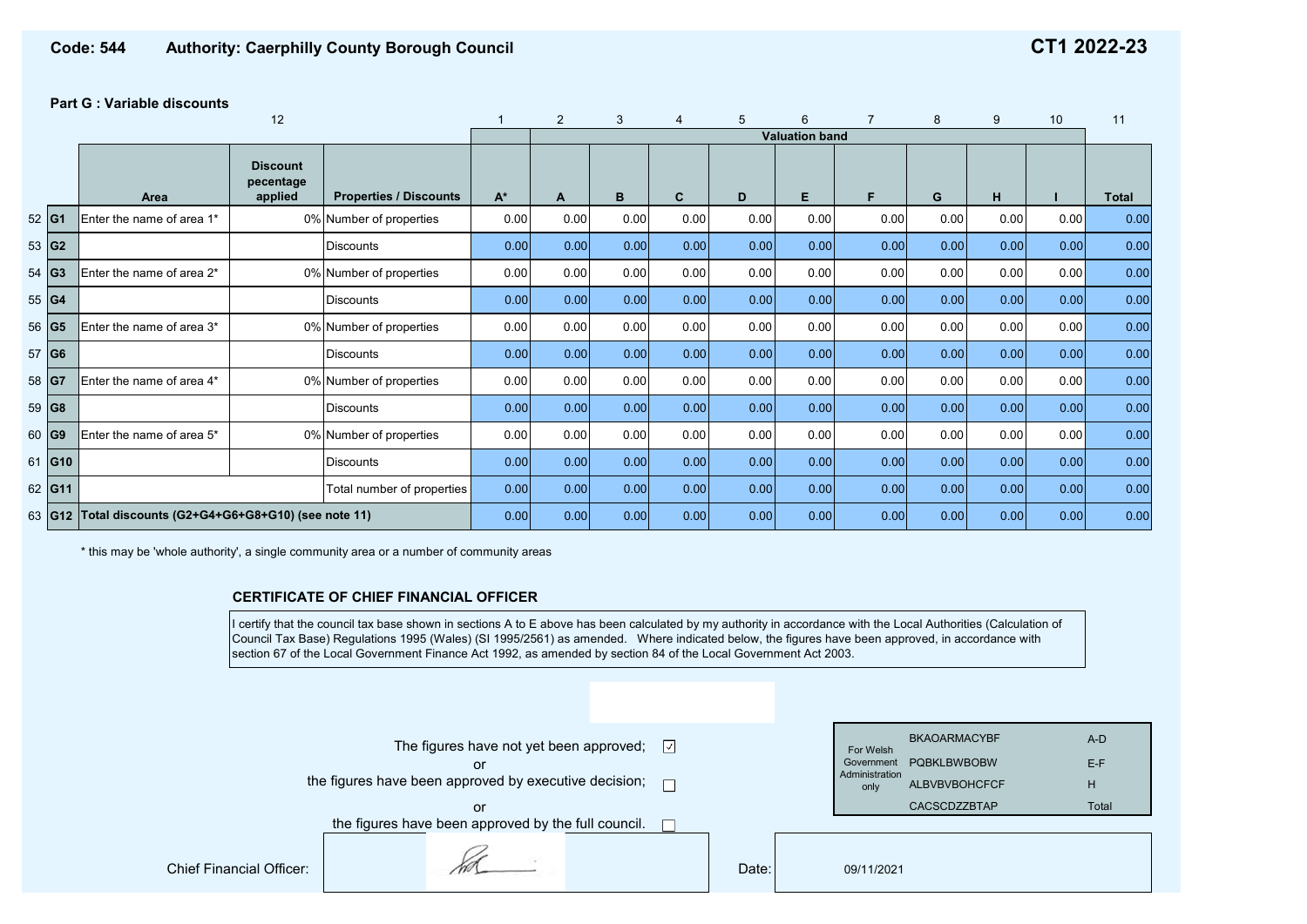## **Part G : Variable discounts**

|       |                 |                                                        |                                         |                               | 2     | 3    |      | 5    | 6    |                       | 8    | 9    | 10   | 11   |              |
|-------|-----------------|--------------------------------------------------------|-----------------------------------------|-------------------------------|-------|------|------|------|------|-----------------------|------|------|------|------|--------------|
|       |                 |                                                        |                                         |                               |       |      |      |      |      | <b>Valuation band</b> |      |      |      |      |              |
|       |                 | Area                                                   | <b>Discount</b><br>pecentage<br>applied | <b>Properties / Discounts</b> | $A^*$ | A    | B    | C.   | D    | E                     | F.   | G    | H    |      | <b>Total</b> |
| 52 G1 |                 | Enter the name of area 1*                              |                                         | 0% Number of properties       | 0.00  | 0.00 | 0.00 | 0.00 | 0.00 | 0.00                  | 0.00 | 0.00 | 0.00 | 0.00 | 0.00         |
| 53 G2 |                 |                                                        |                                         | <b>Discounts</b>              | 0.00  | 0.00 | 0.00 | 0.00 | 0.00 | 0.00                  | 0.00 | 0.00 | 0.00 | 0.00 | 0.00         |
| 54    | G <sub>3</sub>  | Enter the name of area 2*                              |                                         | 0% Number of properties       | 0.00  | 0.00 | 0.00 | 0.00 | 0.00 | 0.00                  | 0.00 | 0.00 | 0.00 | 0.00 | 0.00         |
| 55 G4 |                 |                                                        |                                         | <b>Discounts</b>              | 0.00  | 0.00 | 0.00 | 0.00 | 0.00 | 0.00                  | 0.00 | 0.00 | 0.00 | 0.00 | 0.00         |
|       | 56 G5           | Enter the name of area 3*                              |                                         | 0% Number of properties       | 0.00  | 0.00 | 0.00 | 0.00 | 0.00 | 0.00                  | 0.00 | 0.00 | 0.00 | 0.00 | 0.00         |
| 57 G6 |                 |                                                        |                                         | <b>Discounts</b>              | 0.00  | 0.00 | 0.00 | 0.00 | 0.00 | 0.00                  | 0.00 | 0.00 | 0.00 | 0.00 | 0.00         |
| 58 G7 |                 | Enter the name of area 4*                              |                                         | 0% Number of properties       | 0.00  | 0.00 | 0.00 | 0.00 | 0.00 | 0.00                  | 0.00 | 0.00 | 0.00 | 0.00 | 0.00         |
| 59 G8 |                 |                                                        |                                         | <b>Discounts</b>              | 0.00  | 0.00 | 0.00 | 0.00 | 0.00 | 0.00                  | 0.00 | 0.00 | 0.00 | 0.00 | 0.00         |
| 60    | G <sub>9</sub>  | 0% Number of properties<br>Enter the name of area 5*   |                                         |                               | 0.00  | 0.00 | 0.00 | 0.00 | 0.00 | 0.00                  | 0.00 | 0.00 | 0.00 | 0.00 | 0.00         |
| 61    | G <sub>10</sub> |                                                        |                                         | <b>Discounts</b>              | 0.00  | 0.00 | 0.00 | 0.00 | 0.00 | 0.00                  | 0.00 | 0.00 | 0.00 | 0.00 | 0.00         |
|       | 62 G11          |                                                        |                                         | Total number of properties    | 0.00  | 0.00 | 0.00 | 0.00 | 0.00 | 0.00                  | 0.00 | 0.00 | 0.00 | 0.00 | 0.00         |
|       |                 | 63 G12 Total discounts (G2+G4+G6+G8+G10) (see note 11) |                                         | 0.00                          | 0.00  | 0.00 | 0.00 | 0.00 | 0.00 | 0.00                  | 0.00 | 0.00 | 0.00 | 0.00 |              |

\* this may be 'whole authority', a single community area or a number of community areas

## **CERTIFICATE OF CHIEF FINANCIAL OFFICER**

I certify that the council tax base shown in sections A to E above has been calculated by my authority in accordance with the Local Authorities (Calculation of Council Tax Base) Regulations 1995 (Wales) (SI 1995/2561) as amended. Where indicated below, the figures have been approved, in accordance with section 67 of the Local Government Finance Act 1992, as amended by section 84 of the Local Government Act 2003.

|                                 | The figures have not yet been approved; $\Box$<br>or<br>the figures have been approved by executive decision; $\Box$ |  |       | For Welsh<br>Government<br>Administration<br>only | <b>BKAOARMACYBF</b><br><b>POBKLBWBOBW</b><br><b>ALBVBVBOHCFCF</b><br><b>CACSCDZZBTAP</b> | A-D<br>$E-F$<br>H |
|---------------------------------|----------------------------------------------------------------------------------------------------------------------|--|-------|---------------------------------------------------|------------------------------------------------------------------------------------------|-------------------|
|                                 | or<br>the figures have been approved by the full council.                                                            |  |       |                                                   |                                                                                          | Total             |
| <b>Chief Financial Officer:</b> |                                                                                                                      |  | Date: | 09/11/2021                                        |                                                                                          |                   |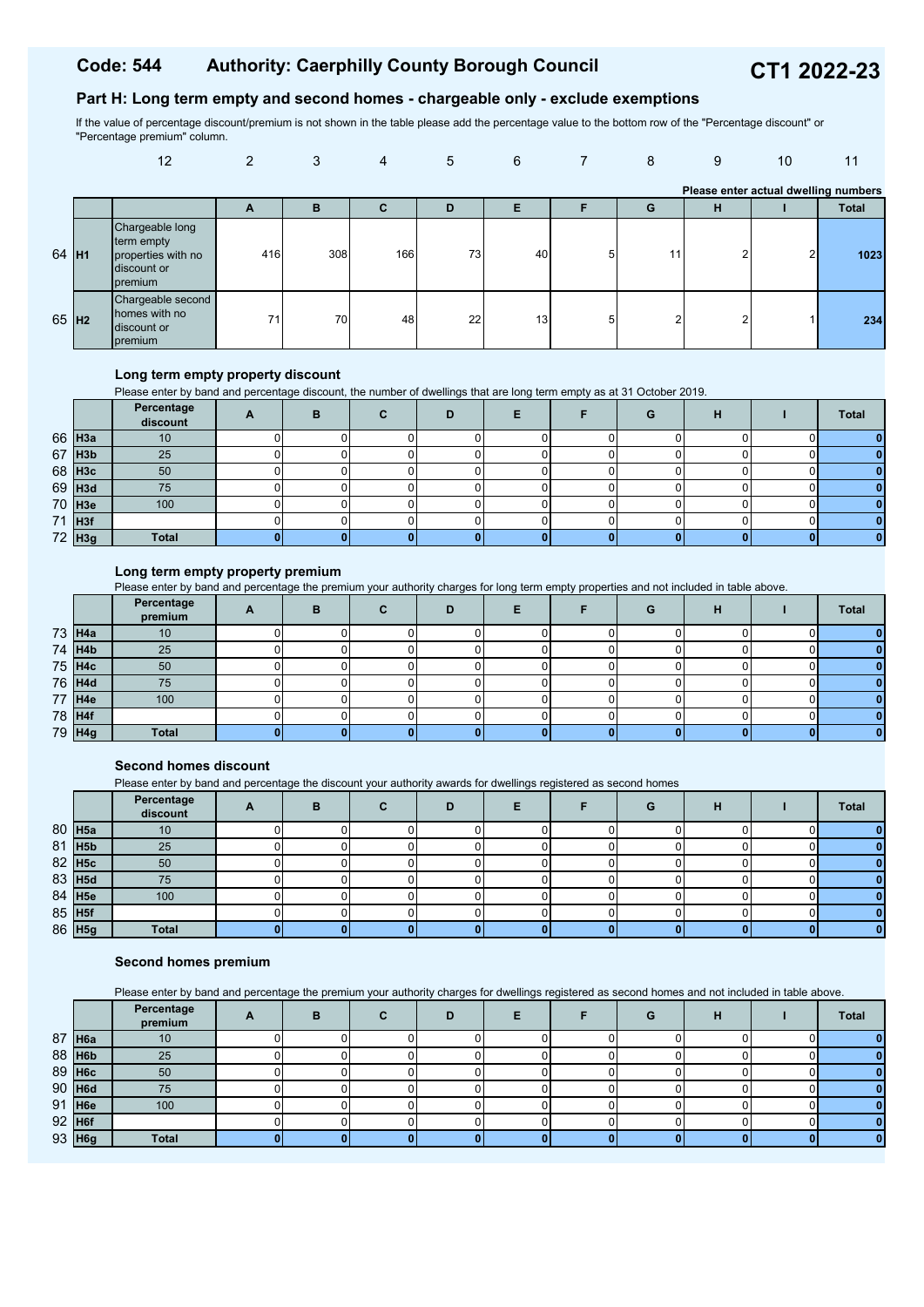# **Part H: Long term empty and second homes - chargeable only - exclude exemptions**

If the value of percentage discount/premium is not shown in the table please add the percentage value to the bottom row of the "Percentage discount" or "Percentage premium" column.

|                   | 12                                                                            | 2   | 3   | $\overline{4}$ | 5  | 6               |   | 8  | 9                                    | 10 | 11           |
|-------------------|-------------------------------------------------------------------------------|-----|-----|----------------|----|-----------------|---|----|--------------------------------------|----|--------------|
|                   |                                                                               |     |     |                |    |                 |   |    | Please enter actual dwelling numbers |    |              |
|                   |                                                                               | A   | в   | С              | D  | E               |   | G  | н                                    |    | <b>Total</b> |
| 64 H <sub>1</sub> | Chargeable long<br>term empty<br>properties with no<br>discount or<br>premium | 416 | 308 | 166            | 73 | 40              | 5 | 11 | C                                    | 2  | 1023         |
| 65 H <sub>2</sub> | Chargeable second<br>homes with no<br>discount or<br>premium                  | 71  | 70  | 48             | 22 | 13 <sub>l</sub> | 5 | ົ  | ົ                                    |    | 234          |

#### **Long term empty property discount**

Please enter by band and percentage discount, the number of dwellings that are long term empty as at 31 October 2019.

|                      | Percentage<br>discount | в | D |  | G | н | <b>Total</b> |
|----------------------|------------------------|---|---|--|---|---|--------------|
| 66 H <sub>3a</sub>   | 10                     |   |   |  |   |   |              |
| $67$ H <sub>3b</sub> | 25                     |   |   |  |   |   |              |
| 68 H <sub>3c</sub>   | 50                     |   |   |  |   |   |              |
| $69$ H <sub>3d</sub> | 75                     |   |   |  |   |   |              |
| $70$ H <sub>3e</sub> | 100                    |   |   |  |   |   |              |
| 71 H3f               |                        |   |   |  |   |   |              |
| 72 H <sub>3g</sub>   | <b>Total</b>           |   |   |  |   |   |              |

# **Long term empty property premium**

Please enter by band and percentage the premium your authority charges for long term empty properties and not included in table above.

|        | Percentage<br>premium | $\mathbf{A}$ | B |  |  | G | н | <b>Total</b> |
|--------|-----------------------|--------------|---|--|--|---|---|--------------|
| 73 H4a | 10                    |              |   |  |  |   |   |              |
| 74 H4b | 25                    |              |   |  |  |   |   |              |
| 75 H4c | 50                    |              |   |  |  |   |   |              |
| 76 H4d | 75                    |              |   |  |  |   |   |              |
| 77 H4e | 100                   |              |   |  |  |   |   |              |
| 78 H4f |                       |              |   |  |  |   |   |              |
| 79 H4g | <b>Total</b>          |              |   |  |  |   |   |              |

### **Second homes discount**

Please enter by band and percentage the discount your authority awards for dwellings registered as second homes

|                    | Percentage<br>discount | в | D |  | G |  | <b>Total</b> |
|--------------------|------------------------|---|---|--|---|--|--------------|
| 80 H5a             | 10                     |   |   |  |   |  |              |
| 81 H <sub>5b</sub> | 25                     |   |   |  |   |  |              |
| 82 H5c             | 50                     |   |   |  |   |  |              |
| 83 H5d             | 75                     |   |   |  |   |  |              |
| 84 H5e             | 100                    |   |   |  |   |  |              |
| 85 H5f             |                        |   |   |  |   |  |              |
| 86 H5g             | <b>Total</b>           |   |   |  |   |  |              |

#### **Second homes premium**

Please enter by band and percentage the premium your authority charges for dwellings registered as second homes and not included in table above.

|          |          | Percentage<br>premium |  |  |  | G | н | <b>Total</b> |
|----------|----------|-----------------------|--|--|--|---|---|--------------|
|          | 87 H6a   | 10                    |  |  |  |   |   |              |
|          | $88$ H6b | 25                    |  |  |  |   |   |              |
|          | 89 H6c   | 50                    |  |  |  |   |   |              |
|          | $90$ H6d | 75                    |  |  |  |   |   |              |
|          | 91 H6e   | 100                   |  |  |  |   |   |              |
| $92$ H6f |          |                       |  |  |  |   |   |              |
|          | 93 H6g   | <b>Total</b>          |  |  |  |   |   |              |